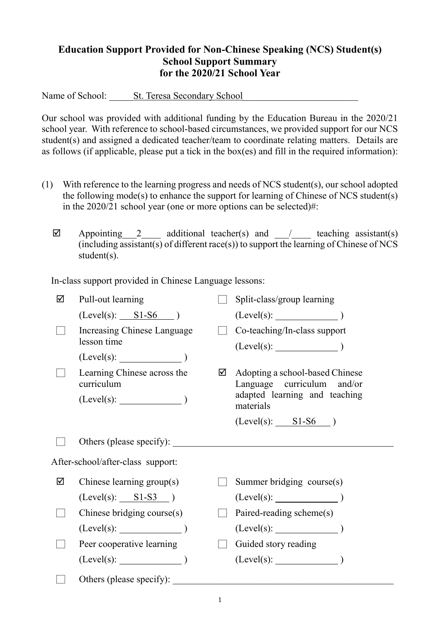## **Education Support Provided for Non-Chinese Speaking (NCS) Student(s) School Support Summary for the 2020/21 School Year**

Name of School: \_\_\_\_\_St. Teresa Secondary School\_\_\_\_\_\_\_\_\_\_\_\_\_\_\_\_\_\_\_\_\_\_\_\_

Our school was provided with additional funding by the Education Bureau in the 2020/21 school year. With reference to school-based circumstances, we provided support for our NCS student(s) and assigned a dedicated teacher/team to coordinate relating matters. Details are as follows (if applicable, please put a tick in the box(es) and fill in the required information):

- (1) With reference to the learning progress and needs of NCS student(s), our school adopted the following mode(s) to enhance the support for learning of Chinese of NCS student(s) in the 2020/21 school year (one or more options can be selected)#:
	- $\boxtimes$  Appointing 2 additional teacher(s) and / teaching assistant(s)  $(i\text{including } \overline{assistant(s)}\text{ of different } \text{race}(s))$  to support the learning of Chinese of NCS student(s).

In-class support provided in Chinese Language lessons:

| ☑                                 | Pull-out learning                         |   | Split-class/group learning                                    |  |  |
|-----------------------------------|-------------------------------------------|---|---------------------------------------------------------------|--|--|
|                                   | $(Level(s):$ $SI-S6$ )                    |   | $(Level(s):$ (Level(s): $)$                                   |  |  |
|                                   | Increasing Chinese Language               |   | Co-teaching/In-class support                                  |  |  |
|                                   | lesson time                               |   |                                                               |  |  |
|                                   | (Level(s):                                |   |                                                               |  |  |
|                                   | Learning Chinese across the<br>curriculum | ☑ | Adopting a school-based Chinese<br>Language curriculum and/or |  |  |
|                                   | $(Level(s):$ $)$                          |   | adapted learning and teaching<br>materials                    |  |  |
|                                   |                                           |   | $(Level(s):$ $SI- S6$ )                                       |  |  |
|                                   |                                           |   |                                                               |  |  |
| After-school/after-class support: |                                           |   |                                                               |  |  |
| ☑                                 | Chinese learning group(s)                 |   | Summer bridging course(s)                                     |  |  |
|                                   | $(Level(s):$ $SI-S3$ )                    |   | (Level(s):                                                    |  |  |
|                                   | Chinese bridging course(s)                |   | Paired-reading scheme(s)                                      |  |  |
|                                   | $(Level(s):$ (Level(s):                   |   | (Level(s):                                                    |  |  |
|                                   | Peer cooperative learning                 |   | Guided story reading                                          |  |  |
|                                   | $(Level(s):$ $)$                          |   | $(Level(s):$ $)$                                              |  |  |
|                                   | Others (please specify):                  |   |                                                               |  |  |
|                                   |                                           |   |                                                               |  |  |